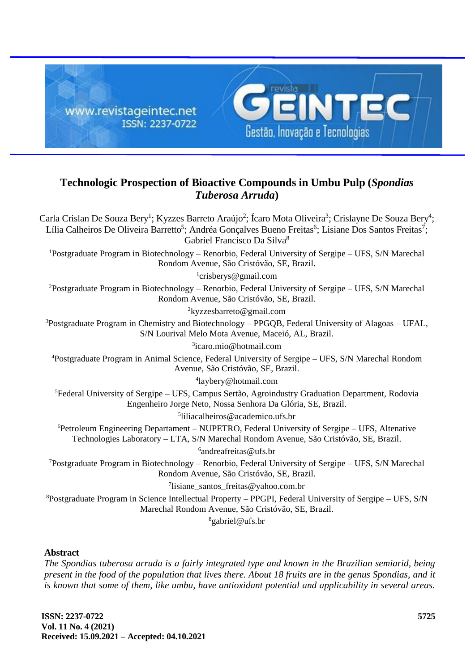

# **Technologic Prospection of Bioactive Compounds in Umbu Pulp (***Spondias Tuberosa Arruda***)**

Carla Crislan De Souza Bery<sup>1</sup>; Kyzzes Barreto Araújo<sup>2</sup>; Ícaro Mota Oliveira<sup>3</sup>; Crislayne De Souza Bery<sup>4</sup>; Lília Calheiros De Oliveira Barretto<sup>5</sup>; Andréa Gonçalves Bueno Freitas<sup>6</sup>; Lisiane Dos Santos Freitas<sup>7</sup>; Gabriel Francisco Da Silva<sup>8</sup> <sup>1</sup>Postgraduate Program in Biotechnology – Renorbio, Federal University of Sergipe – UFS, S/N Marechal Rondom Avenue, São Cristóvão, SE, Brazil. 1 [crisberys@gmail.com](mailto:crisberys@gmail.com) <sup>2</sup>Postgraduate Program in Biotechnology – Renorbio, Federal University of Sergipe – UFS, S/N Marechal Rondom Avenue, São Cristóvão, SE, Brazil. <sup>2</sup>[kyzzesbarreto@gmail.com](mailto:kyzzesbarreto@gmail.com)  $3P$ ostgraduate Program in Chemistry and Biotechnology – PPGQB, Federal University of Alagoas – UFAL, S/N Lourival Melo Mota Avenue, Maceió, AL, Brazil. 3 [icaro.mio@hotmail.com](mailto:icaro.mio@hotmail.com) <sup>4</sup>Postgraduate Program in Animal Science, Federal University of Sergipe – UFS, S/N Marechal Rondom Avenue, São Cristóvão, SE, Brazil. 4 [laybery@hotmail.com](mailto:laybery@hotmail.com) <sup>5</sup>Federal University of Sergipe – UFS, Campus Sertão, Agroindustry Graduation Department, Rodovia Engenheiro Jorge Neto, Nossa Senhora Da Glória, SE, Brazil. 5 [liliacalheiros@a](mailto:liliacalheiros@)cademico.ufs.br <sup>6</sup>Petroleum Engineering Departament – NUPETRO, Federal University of Sergipe – UFS, Altenative Technologies Laboratory – LTA, S/N Marechal Rondom Avenue, São Cristóvão, SE, Brazil. 6 [andreafreitas@ufs.br](mailto:andreafreitas@ufs.br) <sup>7</sup>Postgraduate Program in Biotechnology – Renorbio, Federal University of Sergipe – UFS, S/N Marechal Rondom Avenue, São Cristóvão, SE, Brazil. 7 [lisiane\\_santos\\_freitas@yahoo.com.br](mailto:lisiane_santos_freitas@yahoo.com.br) <sup>8</sup>Postgraduate Program in Science Intellectual Property – PPGPI, Federal University of Sergipe – UFS, S/N Marechal Rondom Avenue, São Cristóvão, SE, Brazil.  $8$ [gabriel@ufs.br](mailto:gabriel@ufs.br) **Abstract**

# *The Spondias tuberosa arruda is a fairly integrated type and known in the Brazilian semiarid, being present in the food of the population that lives there. About 18 fruits are in the genus Spondias, and it is known that some of them, like umbu, have antioxidant potential and applicability in several areas.*

**ISSN: 2237-0722 Vol. 11 No. 4 (2021) Received: 15.09.2021 – Accepted: 04.10.2021**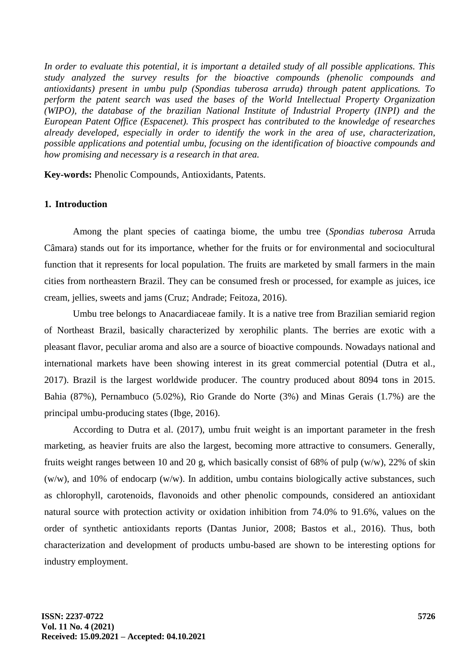*In order to evaluate this potential, it is important a detailed study of all possible applications. This study analyzed the survey results for the bioactive compounds (phenolic compounds and antioxidants) present in umbu pulp (Spondias tuberosa arruda) through patent applications. To perform the patent search was used the bases of the World Intellectual Property Organization (WIPO), the database of the brazilian National Institute of Industrial Property (INPI) and the European Patent Office (Espacenet). This prospect has contributed to the knowledge of researches already developed, especially in order to identify the work in the area of use, characterization, possible applications and potential umbu, focusing on the identification of bioactive compounds and how promising and necessary is a research in that area.*

**Key-words:** Phenolic Compounds, Antioxidants, Patents.

#### **1. Introduction**

Among the plant species of caatinga biome, the umbu tree (*Spondias tuberosa* Arruda Câmara) stands out for its importance, whether for the fruits or for environmental and sociocultural function that it represents for local population. The fruits are marketed by small farmers in the main cities from northeastern Brazil. They can be consumed fresh or processed, for example as juices, ice cream, jellies, sweets and jams (Cruz; Andrade; Feitoza, 2016).

Umbu tree belongs to Anacardiaceae family. It is a native tree from Brazilian semiarid region of Northeast Brazil, basically characterized by xerophilic plants. The berries are exotic with a pleasant flavor, peculiar aroma and also are a source of bioactive compounds. Nowadays national and international markets have been showing interest in its great commercial potential (Dutra et al., 2017). Brazil is the largest worldwide producer. The country produced about 8094 tons in 2015. Bahia (87%), Pernambuco (5.02%), Rio Grande do Norte (3%) and Minas Gerais (1.7%) are the principal umbu-producing states (Ibge, 2016).

According to Dutra et al. (2017), umbu fruit weight is an important parameter in the fresh marketing, as heavier fruits are also the largest, becoming more attractive to consumers. Generally, fruits weight ranges between 10 and 20 g, which basically consist of 68% of pulp (w/w), 22% of skin (w/w), and 10% of endocarp (w/w). In addition, umbu contains biologically active substances, such as chlorophyll, carotenoids, flavonoids and other phenolic compounds, considered an antioxidant natural source with protection activity or oxidation inhibition from 74.0% to 91.6%, values on the order of synthetic antioxidants reports (Dantas Junior, 2008; Bastos et al., 2016). Thus, both characterization and development of products umbu-based are shown to be interesting options for industry employment.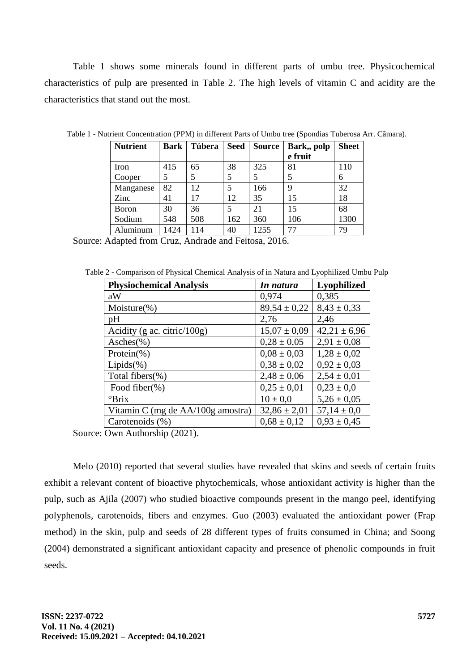Table 1 shows some minerals found in different parts of umbu tree. Physicochemical characteristics of pulp are presented in Table 2. The high levels of vitamin C and acidity are the characteristics that stand out the most.

| <b>Nutrient</b> | <b>Bark</b> | <b>Túbera</b> | <b>Seed</b> | <b>Source</b> | Bark,, polp | <b>Sheet</b> |
|-----------------|-------------|---------------|-------------|---------------|-------------|--------------|
|                 |             |               |             |               | e fruit     |              |
| Iron            | 415         | 65            | 38          | 325           | 81          | 110          |
| Cooper          | 5           | 5             | 5           | 5             | 5           | 6            |
| Manganese       | 82          | 12            | 5           | 166           | 9           | 32           |
| Zinc            | 41          | 17            | 12          | 35            | 15          | 18           |
| <b>Boron</b>    | 30          | 36            | 5           | 21            | 15          | 68           |
| Sodium          | 548         | 508           | 162         | 360           | 106         | 1300         |
| Aluminum        | 1424        | 114           | 40          | 1255          | 77          | 79           |

Table 1 - Nutrient Concentration (PPM) in different Parts of Umbu tree (Spondias Tuberosa Arr. Câmara).

Source: Adapted from Cruz, Andrade and Feitosa, 2016.

Table 2 - Comparison of Physical Chemical Analysis of in Natura and Lyophilized Umbu Pulp

| <b>Physiochemical Analysis</b>    | In natura        | <b>Lyophilized</b> |  |
|-----------------------------------|------------------|--------------------|--|
| aW                                | 0,974            | 0,385              |  |
| Moisture $(\%)$                   | $89,54 \pm 0,22$ | $8,43 \pm 0,33$    |  |
| pH                                | 2,76             | 2,46               |  |
| Acidity (g ac. citric/100g)       | $15,07 \pm 0,09$ | $42,21 \pm 6,96$   |  |
| $Asches(\% )$                     | $0.28 \pm 0.05$  | $2,91 \pm 0,08$    |  |
| Protein $(\%)$                    | $0.08 \pm 0.03$  | $1,28 \pm 0,02$    |  |
| $Lipids(\%)$                      | $0.38 \pm 0.02$  | $0.92 \pm 0.03$    |  |
| Total fibers $(\%)$               | $2,48 \pm 0,06$  | $2,54 \pm 0.01$    |  |
| Food fiber(%)                     | $0,25 \pm 0,01$  | $0.23 \pm 0.0$     |  |
| $\mathrm{Prix}$                   | $10 \pm 0.0$     | $5,26 \pm 0,05$    |  |
| Vitamin C (mg de AA/100g amostra) | $32,86 \pm 2,01$ | $57,14 \pm 0.0$    |  |
| Carotenoids (%)                   | $0.68 \pm 0.12$  | $0.93 \pm 0.45$    |  |

Source: Own Authorship (2021).

Melo (2010) reported that several studies have revealed that skins and seeds of certain fruits exhibit a relevant content of bioactive phytochemicals, whose antioxidant activity is higher than the pulp, such as Ajila (2007) who studied bioactive compounds present in the mango peel, identifying polyphenols, carotenoids, fibers and enzymes. Guo (2003) evaluated the antioxidant power (Frap method) in the skin, pulp and seeds of 28 different types of fruits consumed in China; and Soong (2004) demonstrated a significant antioxidant capacity and presence of phenolic compounds in fruit seeds.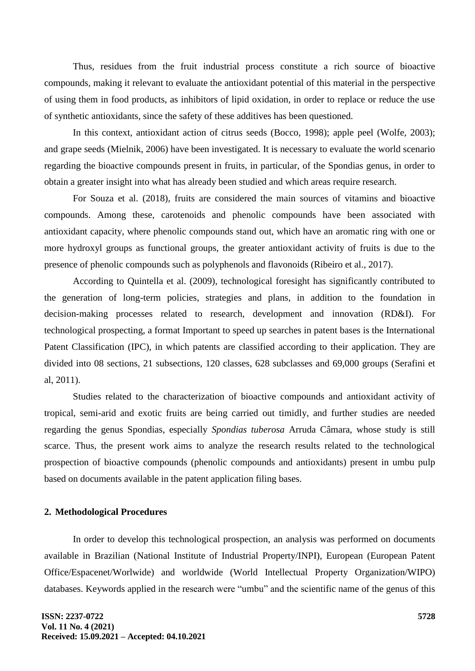Thus, residues from the fruit industrial process constitute a rich source of bioactive compounds, making it relevant to evaluate the antioxidant potential of this material in the perspective of using them in food products, as inhibitors of lipid oxidation, in order to replace or reduce the use of synthetic antioxidants, since the safety of these additives has been questioned.

In this context, antioxidant action of citrus seeds (Bocco, 1998); apple peel (Wolfe, 2003); and grape seeds (Mielnik, 2006) have been investigated. It is necessary to evaluate the world scenario regarding the bioactive compounds present in fruits, in particular, of the Spondias genus, in order to obtain a greater insight into what has already been studied and which areas require research.

For Souza et al. (2018), fruits are considered the main sources of vitamins and bioactive compounds. Among these, carotenoids and phenolic compounds have been associated with antioxidant capacity, where phenolic compounds stand out, which have an aromatic ring with one or more hydroxyl groups as functional groups, the greater antioxidant activity of fruits is due to the presence of phenolic compounds such as polyphenols and flavonoids (Ribeiro et al., 2017).

According to Quintella et al. (2009), technological foresight has significantly contributed to the generation of long-term policies, strategies and plans, in addition to the foundation in decision-making processes related to research, development and innovation (RD&I). For technological prospecting, a format Important to speed up searches in patent bases is the International Patent Classification (IPC), in which patents are classified according to their application. They are divided into 08 sections, 21 subsections, 120 classes, 628 subclasses and 69,000 groups (Serafini et al, 2011).

Studies related to the characterization of bioactive compounds and antioxidant activity of tropical, semi-arid and exotic fruits are being carried out timidly, and further studies are needed regarding the genus Spondias, especially *Spondias tuberosa* Arruda Câmara, whose study is still scarce. Thus, the present work aims to analyze the research results related to the technological prospection of bioactive compounds (phenolic compounds and antioxidants) present in umbu pulp based on documents available in the patent application filing bases.

#### **2. Methodological Procedures**

In order to develop this technological prospection, an analysis was performed on documents available in Brazilian (National Institute of Industrial Property/INPI), European (European Patent Office/Espacenet/Worlwide) and worldwide (World Intellectual Property Organization/WIPO) databases. Keywords applied in the research were "umbu" and the scientific name of the genus of this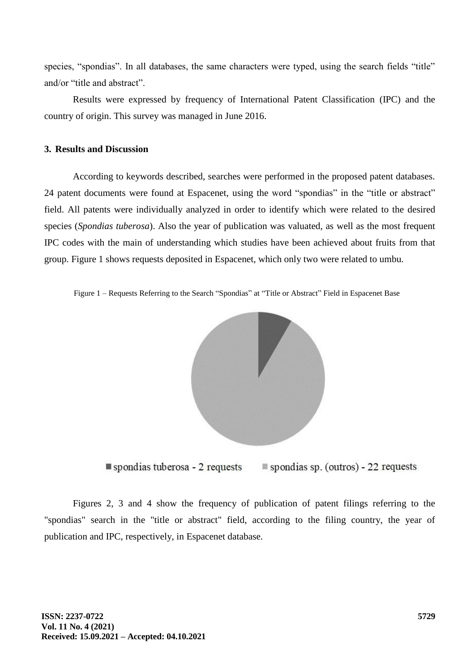species, "spondias". In all databases, the same characters were typed, using the search fields "title" and/or "title and abstract".

Results were expressed by frequency of International Patent Classification (IPC) and the country of origin. This survey was managed in June 2016.

## **3. Results and Discussion**

According to keywords described, searches were performed in the proposed patent databases. 24 patent documents were found at Espacenet, using the word "spondias" in the "title or abstract" field. All patents were individually analyzed in order to identify which were related to the desired species (*Spondias tuberosa*). Also the year of publication was valuated, as well as the most frequent IPC codes with the main of understanding which studies have been achieved about fruits from that group. Figure 1 shows requests deposited in Espacenet, which only two were related to umbu.

Figure 1 – Requests Referring to the Search "Spondias" at "Title or Abstract" Field in Espacenet Base



spondias tuberosa - 2 requests spondias sp. (outros) - 22 requests

Figures 2, 3 and 4 show the frequency of publication of patent filings referring to the "spondias" search in the "title or abstract" field, according to the filing country, the year of publication and IPC, respectively, in Espacenet database.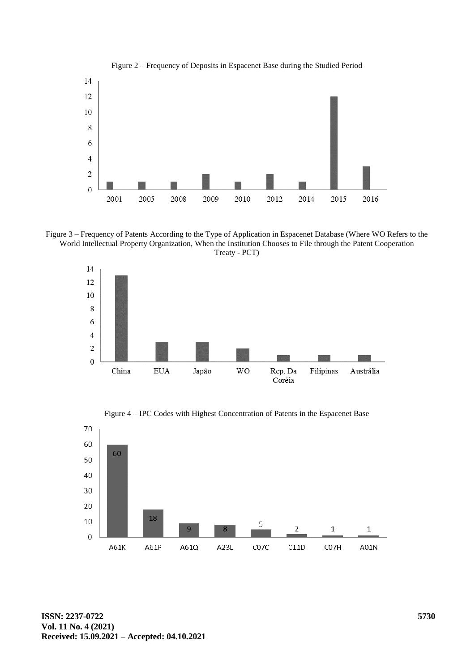

Figure 2 – Frequency of Deposits in Espacenet Base during the Studied Period

Figure 3 – Frequency of Patents According to the Type of Application in Espacenet Database (Where WO Refers to the World Intellectual Property Organization, When the Institution Chooses to File through the Patent Cooperation Treaty - PCT)



Figure 4 – IPC Codes with Highest Concentration of Patents in the Espacenet Base

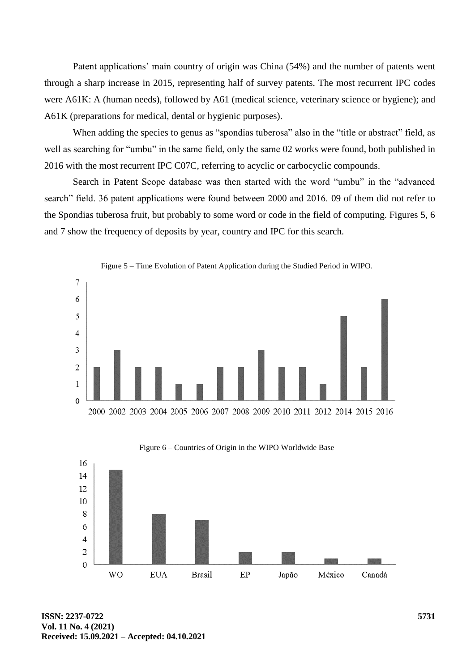Patent applications' main country of origin was China (54%) and the number of patents went through a sharp increase in 2015, representing half of survey patents. The most recurrent IPC codes were A61K: A (human needs), followed by A61 (medical science, veterinary science or hygiene); and A61K (preparations for medical, dental or hygienic purposes).

When adding the species to genus as "spondias tuberosa" also in the "title or abstract" field, as well as searching for "umbu" in the same field, only the same 02 works were found, both published in 2016 with the most recurrent IPC C07C, referring to acyclic or carbocyclic compounds.

Search in Patent Scope database was then started with the word "umbu" in the "advanced search" field. 36 patent applications were found between 2000 and 2016. 09 of them did not refer to the Spondias tuberosa fruit, but probably to some word or code in the field of computing. Figures 5, 6 and 7 show the frequency of deposits by year, country and IPC for this search.







**ISSN: 2237-0722 Vol. 11 No. 4 (2021) Received: 15.09.2021 – Accepted: 04.10.2021**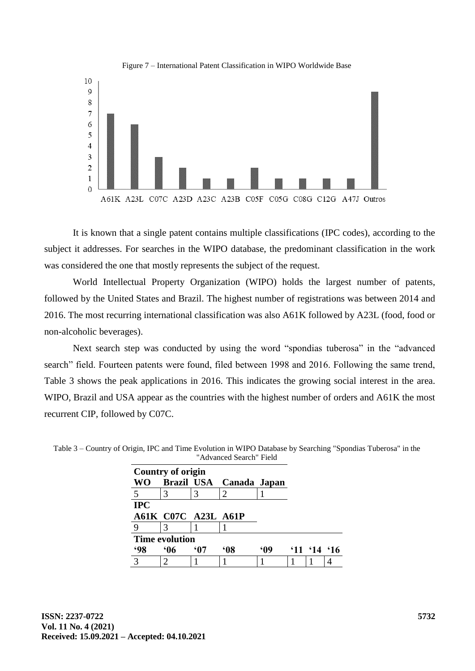



It is known that a single patent contains multiple classifications (IPC codes), according to the subject it addresses. For searches in the WIPO database, the predominant classification in the work was considered the one that mostly represents the subject of the request.

World Intellectual Property Organization (WIPO) holds the largest number of patents, followed by the United States and Brazil. The highest number of registrations was between 2014 and 2016. The most recurring international classification was also A61K followed by A23L (food, food or non-alcoholic beverages).

Next search step was conducted by using the word "spondias tuberosa" in the "advanced search" field. Fourteen patents were found, filed between 1998 and 2016. Following the same trend, Table 3 shows the peak applications in 2016. This indicates the growing social interest in the area. WIPO, Brazil and USA appear as the countries with the highest number of orders and A61K the most recurrent CIP, followed by C07C.

|            | Country of origin          |            |                         |           |                |  |
|------------|----------------------------|------------|-------------------------|-----------|----------------|--|
| WO         |                            |            | Brazil USA Canada Japan |           |                |  |
|            |                            |            | 2                       |           |                |  |
| <b>IPC</b> |                            |            |                         |           |                |  |
|            | <b>A61K C07C A23L A61P</b> |            |                         |           |                |  |
|            |                            |            |                         |           |                |  |
|            | <b>Time evolution</b>      |            |                         |           |                |  |
| <b>98</b>  | <b>.06</b>                 | <u>'07</u> | 608                     | <b>MO</b> | $11 \t14 \t16$ |  |
| っ          |                            |            |                         |           |                |  |

Table 3 – Country of Origin, IPC and Time Evolution in WIPO Database by Searching "Spondias Tuberosa" in the "Advanced Search" Field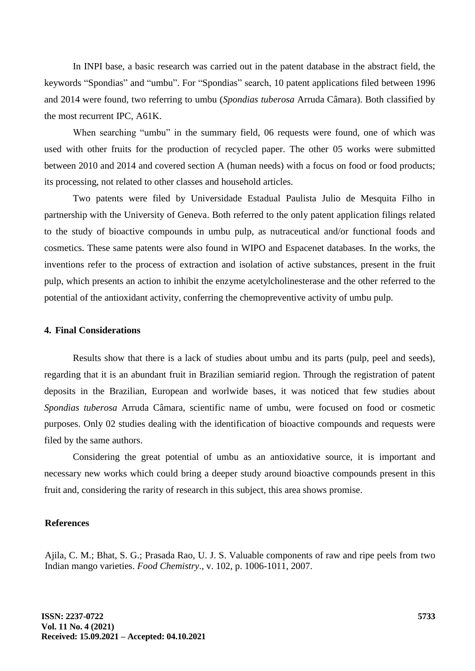In INPI base, a basic research was carried out in the patent database in the abstract field, the keywords "Spondias" and "umbu". For "Spondias" search, 10 patent applications filed between 1996 and 2014 were found, two referring to umbu (*Spondias tuberosa* Arruda Câmara). Both classified by the most recurrent IPC, A61K.

When searching "umbu" in the summary field, 06 requests were found, one of which was used with other fruits for the production of recycled paper. The other 05 works were submitted between 2010 and 2014 and covered section A (human needs) with a focus on food or food products; its processing, not related to other classes and household articles.

Two patents were filed by Universidade Estadual Paulista Julio de Mesquita Filho in partnership with the University of Geneva. Both referred to the only patent application filings related to the study of bioactive compounds in umbu pulp, as nutraceutical and/or functional foods and cosmetics. These same patents were also found in WIPO and Espacenet databases. In the works, the inventions refer to the process of extraction and isolation of active substances, present in the fruit pulp, which presents an action to inhibit the enzyme acetylcholinesterase and the other referred to the potential of the antioxidant activity, conferring the chemopreventive activity of umbu pulp.

### **4. Final Considerations**

Results show that there is a lack of studies about umbu and its parts (pulp, peel and seeds), regarding that it is an abundant fruit in Brazilian semiarid region. Through the registration of patent deposits in the Brazilian, European and worlwide bases, it was noticed that few studies about *Spondias tuberosa* Arruda Câmara, scientific name of umbu, were focused on food or cosmetic purposes. Only 02 studies dealing with the identification of bioactive compounds and requests were filed by the same authors.

Considering the great potential of umbu as an antioxidative source, it is important and necessary new works which could bring a deeper study around bioactive compounds present in this fruit and, considering the rarity of research in this subject, this area shows promise.

#### **References**

Ajila, C. M.; Bhat, S. G.; Prasada Rao, U. J. S. Valuable components of raw and ripe peels from two Indian mango varieties. *Food Chemistry*., v. 102, p. 1006-1011, 2007.